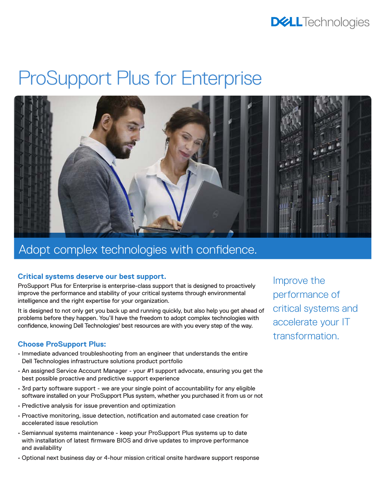### **DELL**Technologies

# ProSupport Plus for Enterprise



### Adopt complex technologies with confidence.

#### **Critical systems deserve our best support.**

ProSupport Plus for Enterprise is enterprise-class support that is designed to proactively improve the performance and stability of your critical systems through environmental intelligence and the right expertise for your organization.

It is designed to not only get you back up and running quickly, but also help you get ahead of problems before they happen. You'll have the freedom to adopt complex technologies with confidence, knowing Dell Technologies' best resources are with you every step of the way.

#### **Choose ProSupport Plus:**

- Immediate advanced troubleshooting from an engineer that understands the entire Dell Technologies infrastructure solutions product portfolio
- An assigned Service Account Manager your #1 support advocate, ensuring you get the best possible proactive and predictive support experience
- 3rd party software support we are your single point of accountability for any eligible software installed on your ProSupport Plus system, whether you purchased it from us or not
- Predictive analysis for issue prevention and optimization
- Proactive monitoring, issue detection, notification and automated case creation for accelerated issue resolution
- Semiannual systems maintenance keep your ProSupport Plus systems up to date with installation of latest firmware BIOS and drive updates to improve performance and availability
- Optional next business day or 4-hour mission critical onsite hardware support response

Improve the performance of critical systems and accelerate your IT transformation.